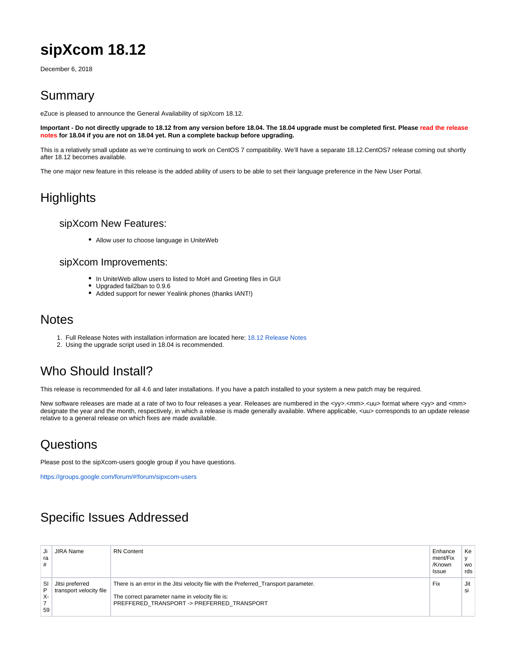# **sipXcom 18.12**

December 6, 2018

### Summary

eZuce is pleased to announce the General Availability of sipXcom 18.12.

**Important - Do not directly upgrade to 18.12 from any version before 18.04. The 18.04 upgrade must be completed first. Please read the release notes for 18.04 if you are not on 18.04 yet. Run a complete backup before upgrading.**

This is a relatively small update as we're continuing to work on CentOS 7 compatibility. We'll have a separate 18.12.CentOS7 release coming out shortly after 18.12 becomes available.

The one major new feature in this release is the added ability of users to be able to set their language preference in the New User Portal.

### **Highlights**

#### sipXcom New Features:

Allow user to choose language in UniteWeb

#### sipXcom Improvements:

- In UniteWeb allow users to listed to MoH and Greeting files in GUI
- Upgraded fail2ban to 0.9.6
- Added support for newer Yealink phones (thanks IANT!)

### **Notes**

- 1. Full Release Notes with installation information are located here: [18.12 Release Notes](http://wiki.ezuce.com/display/sipXcom/sipXcom+18.12)
- 2. Using the upgrade script used in 18.04 is recommended.

# Who Should Install?

This release is recommended for all 4.6 and later installations. If you have a patch installed to your system a new patch may be required.

New software releases are made at a rate of two to four releases a year. Releases are numbered in the <yy>.<mm>.<uu> format where <yy> and <mm> designate the year and the month, respectively, in which a release is made generally available. Where applicable, <uu> corresponds to an update release relative to a general release on which fixes are made available.

### **Questions**

Please post to the sipXcom-users google group if you have questions.

<https://groups.google.com/forum/#!forum/sipxcom-users>

# Specific Issues Addressed

| Ji 1<br>ra<br>#        | <b>JIRA Name</b>                           | <b>RN</b> Content                                                                                                                                                                     | Enhance<br>ment/Fix<br>/Known<br>Issue | Ke<br><b>WO</b><br>rds |
|------------------------|--------------------------------------------|---------------------------------------------------------------------------------------------------------------------------------------------------------------------------------------|----------------------------------------|------------------------|
| -SI '<br>P<br>X-<br>59 | Jitsi preferred<br>transport velocity file | There is an error in the Jitsi velocity file with the Preferred Transport parameter.<br>The correct parameter name in velocity file is:<br>PREFFERED TRANSPORT -> PREFERRED TRANSPORT | Fix                                    | Jit<br>si              |